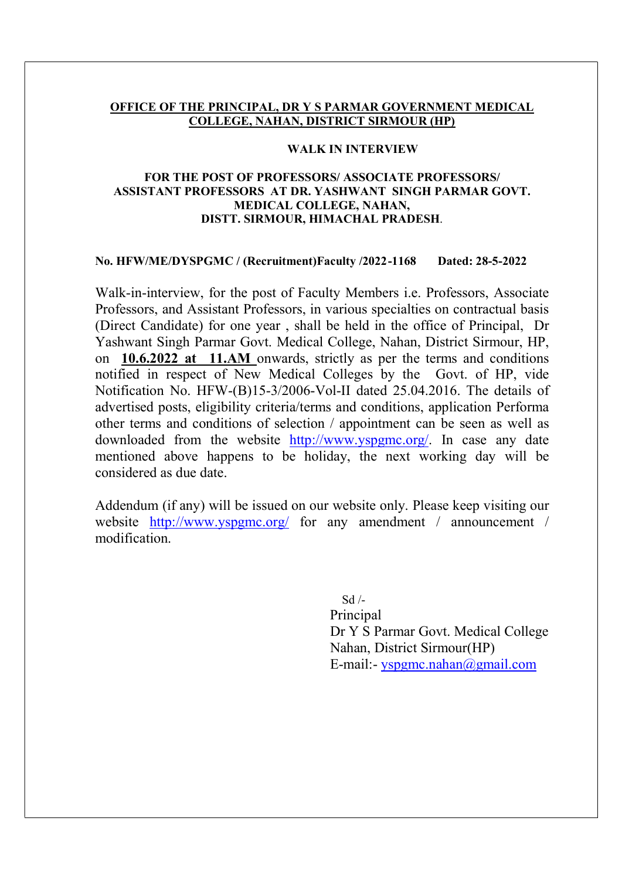#### OFFICE OF THE PRINCIPAL, DR Y S PARMAR GOVERNMENT MEDICAL COLLEGE, NAHAN, DISTRICT SIRMOUR (HP)

#### WALK IN INTERVIEW

#### FOR THE POST OF PROFESSORS/ ASSOCIATE PROFESSORS/ ASSISTANT PROFESSORS AT DR. YASHWANT SINGH PARMAR GOVT. MEDICAL COLLEGE, NAHAN, DISTT. SIRMOUR, HIMACHAL PRADESH.

#### No. HFW/ME/DYSPGMC / (Recruitment)Faculty /2022 -1168 Dated: 28-5-2022

Walk-in-interview, for the post of Faculty Members i.e. Professors, Associate Professors, and Assistant Professors, in various specialties on contractual basis (Direct Candidate) for one year , shall be held in the office of Principal, Dr Yashwant Singh Parmar Govt. Medical College, Nahan, District Sirmour, HP, on 10.6.2022 at 11.AM onwards, strictly as per the terms and conditions notified in respect of New Medical Colleges by the Govt. of HP, vide Notification No. HFW-(B)15-3/2006-Vol-II dated 25.04.2016. The details of advertised posts, eligibility criteria/terms and conditions, application Performa other terms and conditions of selection / appointment can be seen as well as downloaded from the website http://www.yspgmc.org/. In case any date mentioned above happens to be holiday, the next working day will be considered as due date.

Addendum (if any) will be issued on our website only. Please keep visiting our website http://www.yspgmc.org/ for any amendment / announcement / modification.

> Sd /- Principal Dr Y S Parmar Govt. Medical College Nahan, District Sirmour(HP) E-mail:- yspgmc.nahan@gmail.com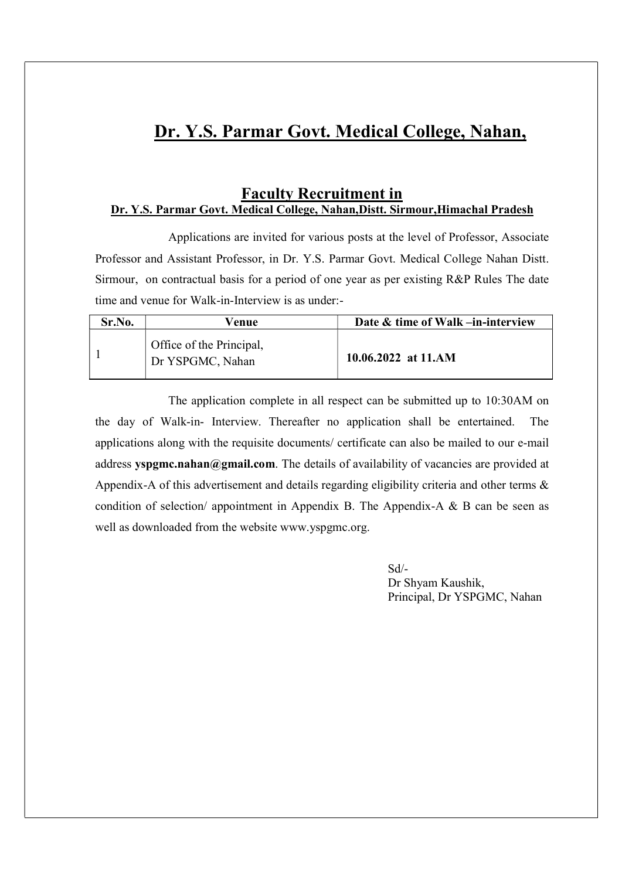# Dr. Y.S. Parmar Govt. Medical College, Nahan,

### Faculty Recruitment in Dr. Y.S. Parmar Govt. Medical College, Nahan,Distt. Sirmour,Himachal Pradesh

 Applications are invited for various posts at the level of Professor, Associate Professor and Assistant Professor, in Dr. Y.S. Parmar Govt. Medical College Nahan Distt. Sirmour, on contractual basis for a period of one year as per existing R&P Rules The date time and venue for Walk-in-Interview is as under:-

| Sr.No. | Venue                                        | Date & time of Walk -in-interview |
|--------|----------------------------------------------|-----------------------------------|
|        | Office of the Principal,<br>Dr YSPGMC, Nahan | 10.06.2022 at 11.AM               |

 The application complete in all respect can be submitted up to 10:30AM on the day of Walk-in- Interview. Thereafter no application shall be entertained. The applications along with the requisite documents/ certificate can also be mailed to our e-mail address yspgmc.nahan@gmail.com. The details of availability of vacancies are provided at Appendix-A of this advertisement and details regarding eligibility criteria and other terms  $\&$ condition of selection/ appointment in Appendix B. The Appendix-A  $\&$  B can be seen as well as downloaded from the website www.yspgmc.org.

 Sd/- Dr Shyam Kaushik, Principal, Dr YSPGMC, Nahan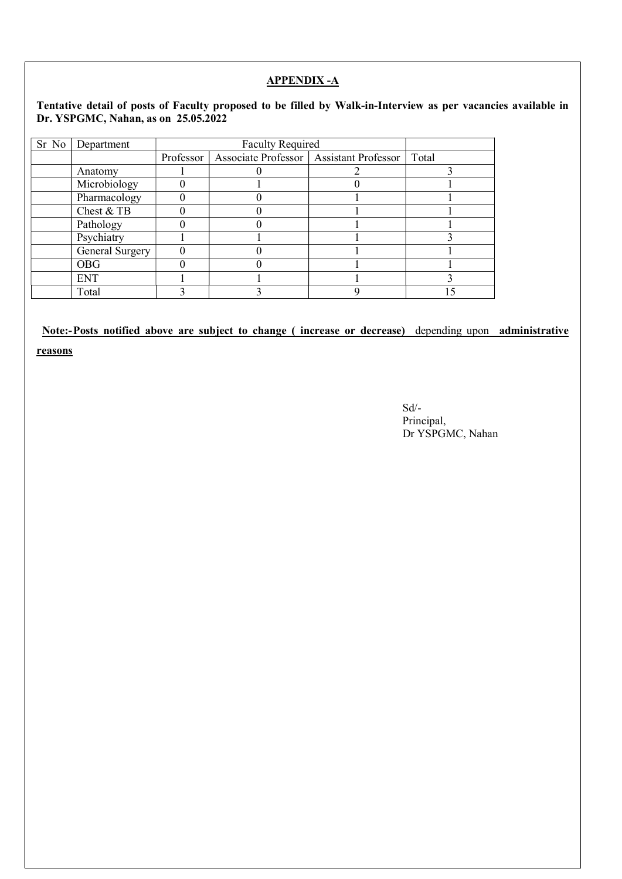### APPENDIX -A

#### Tentative detail of posts of Faculty proposed to be filled by Walk-in-Interview as per vacancies available in Dr. YSPGMC, Nahan, as on 25.05.2022

| Sr No   Department | <b>Faculty Required</b> |                                                       |  |       |
|--------------------|-------------------------|-------------------------------------------------------|--|-------|
|                    |                         | Professor   Associate Professor   Assistant Professor |  | Total |
| Anatomy            |                         |                                                       |  |       |
| Microbiology       |                         |                                                       |  |       |
| Pharmacology       |                         |                                                       |  |       |
| Chest & TB         |                         |                                                       |  |       |
| Pathology          |                         |                                                       |  |       |
| Psychiatry         |                         |                                                       |  |       |
| General Surgery    |                         |                                                       |  |       |
| <b>OBG</b>         |                         |                                                       |  |       |
| <b>ENT</b>         |                         |                                                       |  |       |
| Total              |                         |                                                       |  |       |

### Note:- Posts notified above are subject to change ( increase or decrease) depending upon administrative

reasons

Sd/- Principal, Dr YSPGMC, Nahan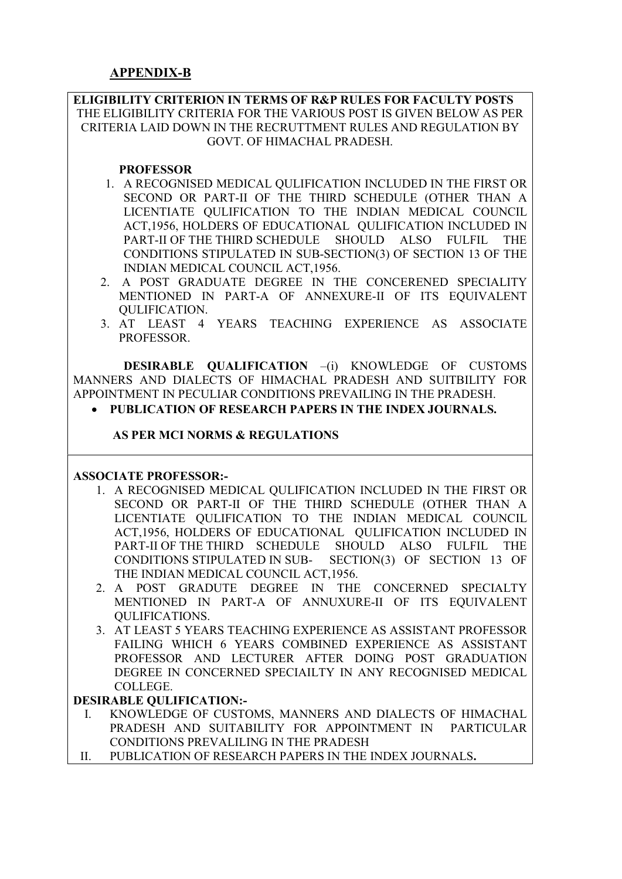ELIGIBILITY CRITERION IN TERMS OF R&P RULES FOR FACULTY POSTS THE ELIGIBILITY CRITERIA FOR THE VARIOUS POST IS GIVEN BELOW AS PER CRITERIA LAID DOWN IN THE RECRUTTMENT RULES AND REGULATION BY GOVT. OF HIMACHAL PRADESH.

### **PROFESSOR**

- 1. A RECOGNISED MEDICAL QULIFICATION INCLUDED IN THE FIRST OR SECOND OR PART-II OF THE THIRD SCHEDULE (OTHER THAN A LICENTIATE QULIFICATION TO THE INDIAN MEDICAL COUNCIL ACT,1956, HOLDERS OF EDUCATIONAL QULIFICATION INCLUDED IN PART-II OF THE THIRD SCHEDULE SHOULD ALSO FULFIL THE CONDITIONS STIPULATED IN SUB-SECTION(3) OF SECTION 13 OF THE INDIAN MEDICAL COUNCIL ACT,1956.
- 2. A POST GRADUATE DEGREE IN THE CONCERENED SPECIALITY MENTIONED IN PART-A OF ANNEXURE-II OF ITS EQUIVALENT QULIFICATION.
- 3. AT LEAST 4 YEARS TEACHING EXPERIENCE AS ASSOCIATE PROFESSOR.

DESIRABLE OUALIFICATION -(i) KNOWLEDGE OF CUSTOMS MANNERS AND DIALECTS OF HIMACHAL PRADESH AND SUITBILITY FOR APPOINTMENT IN PECULIAR CONDITIONS PREVAILING IN THE PRADESH.

• PUBLICATION OF RESEARCH PAPERS IN THE INDEX JOURNALS.

### AS PER MCI NORMS & REGULATIONS

#### ASSOCIATE PROFESSOR:-

- 1. A RECOGNISED MEDICAL QULIFICATION INCLUDED IN THE FIRST OR SECOND OR PART-II OF THE THIRD SCHEDULE (OTHER THAN A LICENTIATE QULIFICATION TO THE INDIAN MEDICAL COUNCIL ACT,1956, HOLDERS OF EDUCATIONAL QULIFICATION INCLUDED IN PART-II OF THE THIRD SCHEDULE SHOULD ALSO FULFIL THE CONDITIONS STIPULATED IN SUB- SECTION(3) OF SECTION 13 OF THE INDIAN MEDICAL COUNCIL ACT,1956.
- 2. A POST GRADUTE DEGREE IN THE CONCERNED SPECIALTY MENTIONED IN PART-A OF ANNUXURE-II OF ITS EQUIVALENT QULIFICATIONS.
- 3. AT LEAST 5 YEARS TEACHING EXPERIENCE AS ASSISTANT PROFESSOR FAILING WHICH 6 YEARS COMBINED EXPERIENCE AS ASSISTANT PROFESSOR AND LECTURER AFTER DOING POST GRADUATION DEGREE IN CONCERNED SPECIAILTY IN ANY RECOGNISED MEDICAL COLLEGE.

### DESIRABLE QULIFICATION:-

- I. KNOWLEDGE OF CUSTOMS, MANNERS AND DIALECTS OF HIMACHAL PRADESH AND SUITABILITY FOR APPOINTMENT IN PARTICULAR CONDITIONS PREVALILING IN THE PRADESH
- II. PUBLICATION OF RESEARCH PAPERS IN THE INDEX JOURNALS.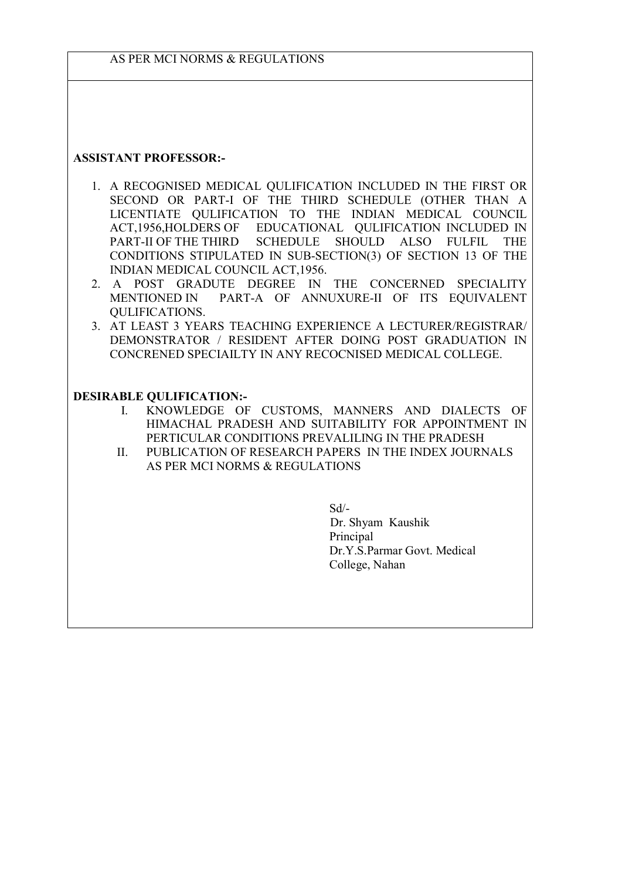### ASSISTANT PROFESSOR:-

- 1. A RECOGNISED MEDICAL QULIFICATION INCLUDED IN THE FIRST OR SECOND OR PART-I OF THE THIRD SCHEDULE (OTHER THAN A LICENTIATE QULIFICATION TO THE INDIAN MEDICAL COUNCIL ACT,1956,HOLDERS OF EDUCATIONAL QULIFICATION INCLUDED IN PART-II OF THE THIRD SCHEDULE SHOULD ALSO FULFIL THE CONDITIONS STIPULATED IN SUB-SECTION(3) OF SECTION 13 OF THE INDIAN MEDICAL COUNCIL ACT,1956.
- 2. A POST GRADUTE DEGREE IN THE CONCERNED SPECIALITY MENTIONED IN PART-A OF ANNUXURE-II OF ITS EQUIVALENT QULIFICATIONS.
- 3. AT LEAST 3 YEARS TEACHING EXPERIENCE A LECTURER/REGISTRAR/ DEMONSTRATOR / RESIDENT AFTER DOING POST GRADUATION IN CONCRENED SPECIAILTY IN ANY RECOCNISED MEDICAL COLLEGE.

#### DESIRABLE QULIFICATION:-

- I. KNOWLEDGE OF CUSTOMS, MANNERS AND DIALECTS OF HIMACHAL PRADESH AND SUITABILITY FOR APPOINTMENT IN PERTICULAR CONDITIONS PREVALILING IN THE PRADESH
- II. PUBLICATION OF RESEARCH PAPERS IN THE INDEX JOURNALS AS PER MCI NORMS & REGULATIONS

 Sd/- Dr. Shyam Kaushik Principal Dr.Y.S.Parmar Govt. Medical College, Nahan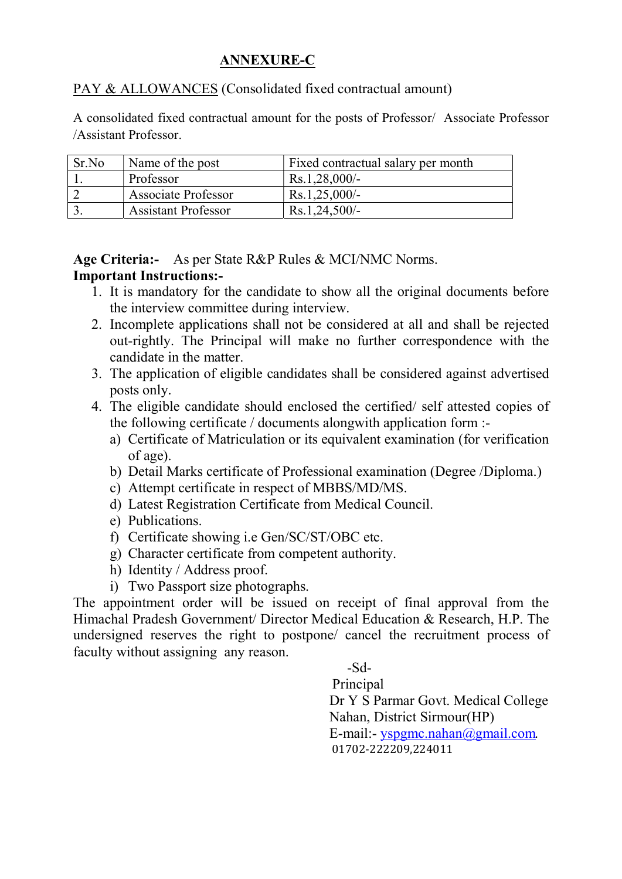# ANNEXURE-C

PAY & ALLOWANCES (Consolidated fixed contractual amount)

A consolidated fixed contractual amount for the posts of Professor/ Associate Professor /Assistant Professor.

| Sr.No | Name of the post           | Fixed contractual salary per month |
|-------|----------------------------|------------------------------------|
|       | Professor                  | $Rs.1,28,000/-$                    |
|       | Associate Professor        | $Rs.1,25,000/-$                    |
|       | <b>Assistant Professor</b> | $Rs.1,24,500/-$                    |

Age Criteria:- As per State R&P Rules & MCI/NMC Norms.

# Important Instructions:-

- 1. It is mandatory for the candidate to show all the original documents before the interview committee during interview.
- 2. Incomplete applications shall not be considered at all and shall be rejected out-rightly. The Principal will make no further correspondence with the candidate in the matter.
- 3. The application of eligible candidates shall be considered against advertised posts only.
- 4. The eligible candidate should enclosed the certified/ self attested copies of the following certificate / documents alongwith application form :
	- a) Certificate of Matriculation or its equivalent examination (for verification of age).
	- b) Detail Marks certificate of Professional examination (Degree /Diploma.)
	- c) Attempt certificate in respect of MBBS/MD/MS.
	- d) Latest Registration Certificate from Medical Council.
	- e) Publications.
	- f) Certificate showing i.e Gen/SC/ST/OBC etc.
	- g) Character certificate from competent authority.
	- h) Identity / Address proof.
	- i) Two Passport size photographs.

The appointment order will be issued on receipt of final approval from the Himachal Pradesh Government/ Director Medical Education & Research, H.P. The undersigned reserves the right to postpone/ cancel the recruitment process of faculty without assigning any reason.

-Sd-

 Principal Dr Y S Parmar Govt. Medical College Nahan, District Sirmour(HP) E-mail:- yspgmc.nahan@gmail.com. 01702-222209,224011